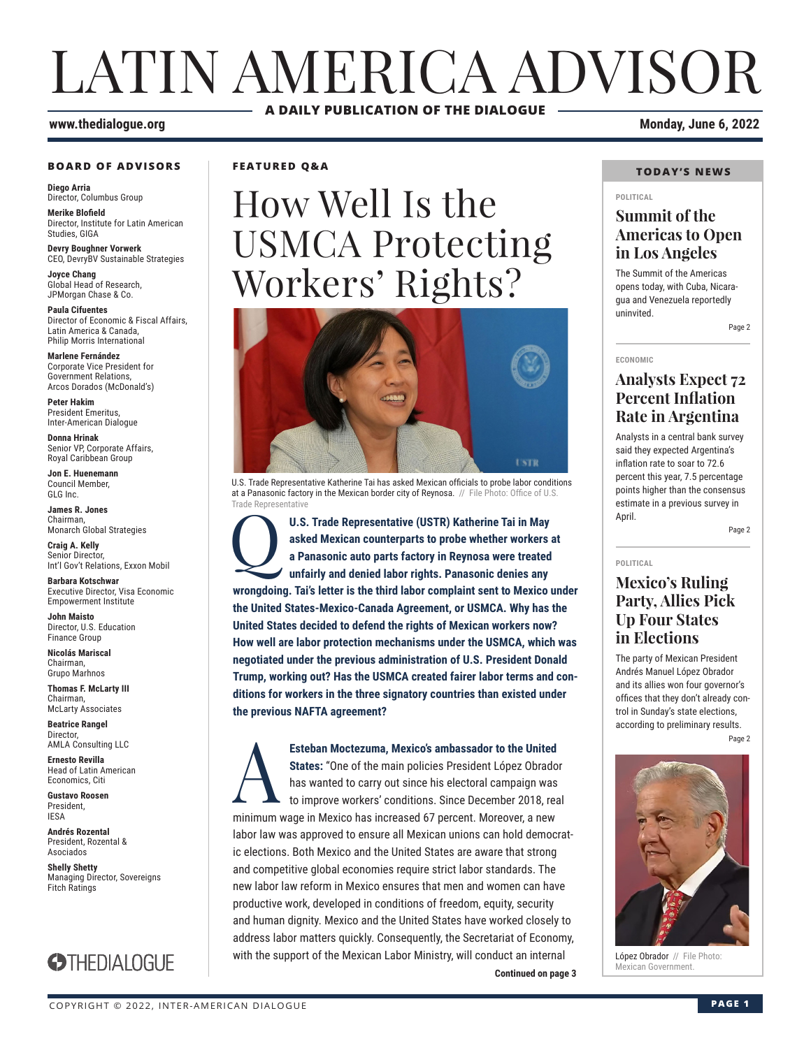# LATIN AMERICA ADVISOR **A DAILY PUBLICATION OF THE DIALOGUE**

#### **www.thedialogue.org Monday, June 6, 2022**

#### **BOARD OF ADVISORS**

**Diego Arria** Director, Columbus Group

**Merike Blofield** Director, Institute for Latin American Studies, GIGA

**Devry Boughner Vorwerk** CEO, DevryBV Sustainable Strategies

**Joyce Chang** Global Head of Research, JPMorgan Chase & Co.

**Paula Cifuentes** Director of Economic & Fiscal Affairs, Latin America & Canada, Philip Morris International

**Marlene Fernández** Corporate Vice President for Government Relations, Arcos Dorados (McDonald's)

**Peter Hakim** President Emeritus, Inter-American Dialogue

**Donna Hrinak** Senior VP, Corporate Affairs, Royal Caribbean Group

**Jon E. Huenemann** Council Member, GLG Inc.

**James R. Jones** Chairman, Monarch Global Strategies

**Craig A. Kelly** Senior Director, Int'l Gov't Relations, Exxon Mobil

**Barbara Kotschwar** Executive Director, Visa Economic Empowerment Institute

**John Maisto** Director, U.S. Education Finance Group

**Nicolás Mariscal** Chairman, Grupo Marhnos

**Thomas F. McLarty III** Chairman, McLarty Associates

**Beatrice Rangel**  Director, AMLA Consulting LLC

**Ernesto Revilla**  Head of Latin American

Economics, Citi **Gustavo Roosen** President, IESA

**Andrés Rozental**  President, Rozental & Asociados

**Shelly Shetty** Managing Director, Sovereigns Fitch Ratings



**FEATURED Q&A**

# How Well Is the USMCA Protecting Workers' Rights?



U.S. Trade Representative Katherine Tai has asked Mexican officials to probe labor conditions at a Panasonic factory in the Mexican border city of Reynosa. // File Photo: Office of U.S. Trade Representative

U.S. Trade Representative (USTR) Katherine Tai in May<br>asked Mexican counterparts to probe whether workers a<br>a Panasonic auto parts factory in Reynosa were treated<br>unfairly and denied labor rights. Panasonic denies any **asked Mexican counterparts to probe whether workers at a Panasonic auto parts factory in Reynosa were treated unfairly and denied labor rights. Panasonic denies any wrongdoing. Tai's letter is the third labor complaint sent to Mexico under the United States-Mexico-Canada Agreement, or USMCA. Why has the United States decided to defend the rights of Mexican workers now? How well are labor protection mechanisms under the USMCA, which was negotiated under the previous administration of U.S. President Donald Trump, working out? Has the USMCA created fairer labor terms and conditions for workers in the three signatory countries than existed under the previous NAFTA agreement?**

**Continued on page 3** Esteban Moctezuma, Mexico's ambassador to the United<br>
States: "One of the main policies President López Obrado<br>
has wanted to carry out since his electoral campaign was<br>
to improve workers' conditions. Since December 2018, **States:** "One of the main policies President López Obrador has wanted to carry out since his electoral campaign was to improve workers' conditions. Since December 2018, real minimum wage in Mexico has increased 67 percent. Moreover, a new labor law was approved to ensure all Mexican unions can hold democratic elections. Both Mexico and the United States are aware that strong and competitive global economies require strict labor standards. The new labor law reform in Mexico ensures that men and women can have productive work, developed in conditions of freedom, equity, security and human dignity. Mexico and the United States have worked closely to address labor matters quickly. Consequently, the Secretariat of Economy, with the support of the Mexican Labor Ministry, will conduct an internal

### **TODAY'S NEWS**

#### **POLITICAL**

### **Summit of the Americas to Open in Los Angeles**

The Summit of the Americas opens today, with Cuba, Nicaragua and Venezuela reportedly uninvited.

Page 2

#### **ECONOMIC**

### **Analysts Expect 72 Percent Inflation Rate in Argentina**

Analysts in a central bank survey said they expected Argentina's inflation rate to soar to 72.6 percent this year, 7.5 percentage points higher than the consensus estimate in a previous survey in April.

Page 2

### **POLITICAL Mexico's Ruling Party, Allies Pick Up Four States in Elections**

The party of Mexican President Andrés Manuel López Obrador and its allies won four governor's offices that they don't already control in Sunday's state elections, according to preliminary results.

Page 2



López Obrador // File Photo:<br>Mexican Government.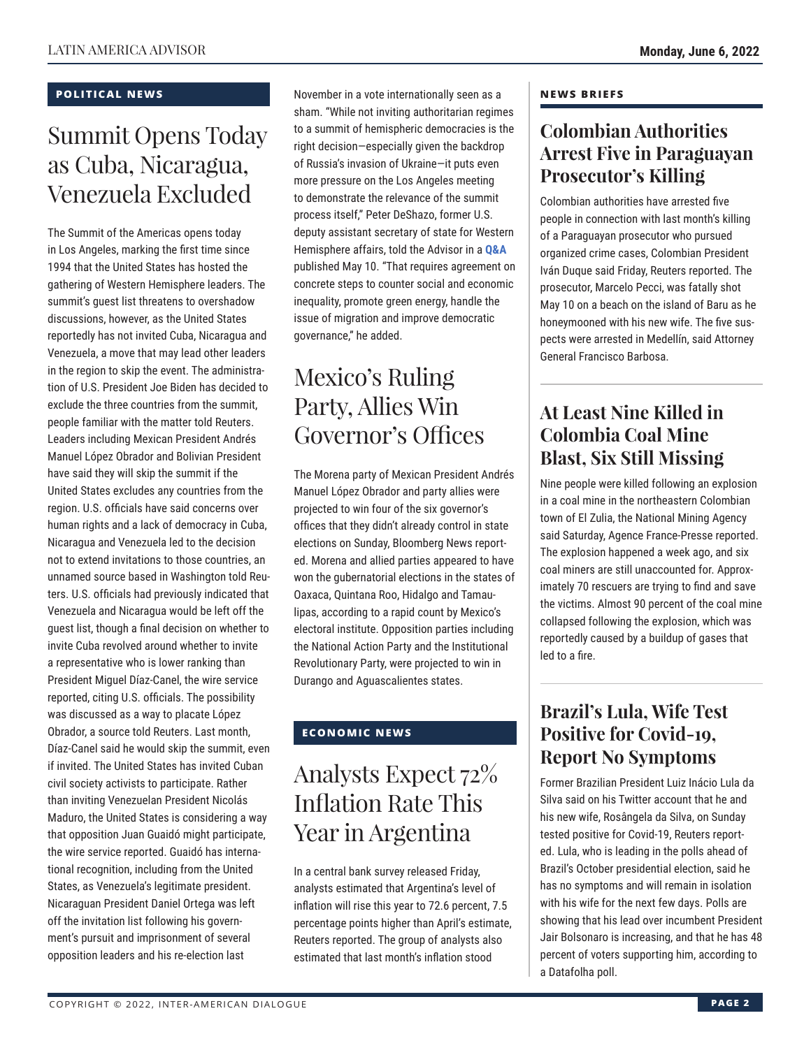### **POLITICAL NEWS**

## Summit Opens Today as Cuba, Nicaragua, Venezuela Excluded

The Summit of the Americas opens today in Los Angeles, marking the first time since 1994 that the United States has hosted the gathering of Western Hemisphere leaders. The summit's guest list threatens to overshadow discussions, however, as the United States reportedly has not invited Cuba, Nicaragua and Venezuela, a move that may lead other leaders in the region to skip the event. The administration of U.S. President Joe Biden has decided to exclude the three countries from the summit, people familiar with the matter told Reuters. Leaders including Mexican President Andrés Manuel López Obrador and Bolivian President have said they will skip the summit if the United States excludes any countries from the region. U.S. officials have said concerns over human rights and a lack of democracy in Cuba, Nicaragua and Venezuela led to the decision not to extend invitations to those countries, an unnamed source based in Washington told Reuters. U.S. officials had previously indicated that Venezuela and Nicaragua would be left off the guest list, though a final decision on whether to invite Cuba revolved around whether to invite a representative who is lower ranking than President Miguel Díaz-Canel, the wire service reported, citing U.S. officials. The possibility was discussed as a way to placate López Obrador, a source told Reuters. Last month, Díaz-Canel said he would skip the summit, even if invited. The United States has invited Cuban civil society activists to participate. Rather than inviting Venezuelan President Nicolás Maduro, the United States is considering a way that opposition Juan Guaidó might participate, the wire service reported. Guaidó has international recognition, including from the United States, as Venezuela's legitimate president. Nicaraguan President Daniel Ortega was left off the invitation list following his government's pursuit and imprisonment of several opposition leaders and his re-election last

November in a vote internationally seen as a sham. "While not inviting authoritarian regimes to a summit of hemispheric democracies is the right decision—especially given the backdrop of Russia's invasion of Ukraine—it puts even more pressure on the Los Angeles meeting to demonstrate the relevance of the summit process itself," Peter DeShazo, former U.S. deputy assistant secretary of state for Western Hemisphere affairs, told the Advisor in a **[Q&A](https://www.thedialogue.org/wp-content/uploads/2022/05/LAA220510.pdf)** published May 10. "That requires agreement on concrete steps to counter social and economic inequality, promote green energy, handle the issue of migration and improve democratic governance," he added.

## Mexico's Ruling Party, Allies Win Governor's Offices

The Morena party of Mexican President Andrés Manuel López Obrador and party allies were projected to win four of the six governor's offices that they didn't already control in state elections on Sunday, Bloomberg News reported. Morena and allied parties appeared to have won the gubernatorial elections in the states of Oaxaca, Quintana Roo, Hidalgo and Tamaulipas, according to a rapid count by Mexico's electoral institute. Opposition parties including the National Action Party and the Institutional Revolutionary Party, were projected to win in Durango and Aguascalientes states.

### **ECONOMIC NEWS**

### Analysts Expect 72% Inflation Rate This Year in Argentina

In a central bank survey released Friday, analysts estimated that Argentina's level of inflation will rise this year to 72.6 percent, 7.5 percentage points higher than April's estimate, Reuters reported. The group of analysts also estimated that last month's inflation stood

### **NEWS BRIEFS**

### **Colombian Authorities Arrest Five in Paraguayan Prosecutor's Killing**

Colombian authorities have arrested five people in connection with last month's killing of a Paraguayan prosecutor who pursued organized crime cases, Colombian President Iván Duque said Friday, Reuters reported. The prosecutor, Marcelo Pecci, was fatally shot May 10 on a beach on the island of Baru as he honeymooned with his new wife. The five suspects were arrested in Medellín, said Attorney General Francisco Barbosa.

### **At Least Nine Killed in Colombia Coal Mine Blast, Six Still Missing**

Nine people were killed following an explosion in a coal mine in the northeastern Colombian town of El Zulia, the National Mining Agency said Saturday, Agence France-Presse reported. The explosion happened a week ago, and six coal miners are still unaccounted for. Approximately 70 rescuers are trying to find and save the victims. Almost 90 percent of the coal mine collapsed following the explosion, which was reportedly caused by a buildup of gases that led to a fire.

### **Brazil's Lula, Wife Test Positive for Covid-19, Report No Symptoms**

Former Brazilian President Luiz Inácio Lula da Silva said on his Twitter account that he and his new wife, Rosângela da Silva, on Sunday tested positive for Covid-19, Reuters reported. Lula, who is leading in the polls ahead of Brazil's October presidential election, said he has no symptoms and will remain in isolation with his wife for the next few days. Polls are showing that his lead over incumbent President Jair Bolsonaro is increasing, and that he has 48 percent of voters supporting him, according to a Datafolha poll.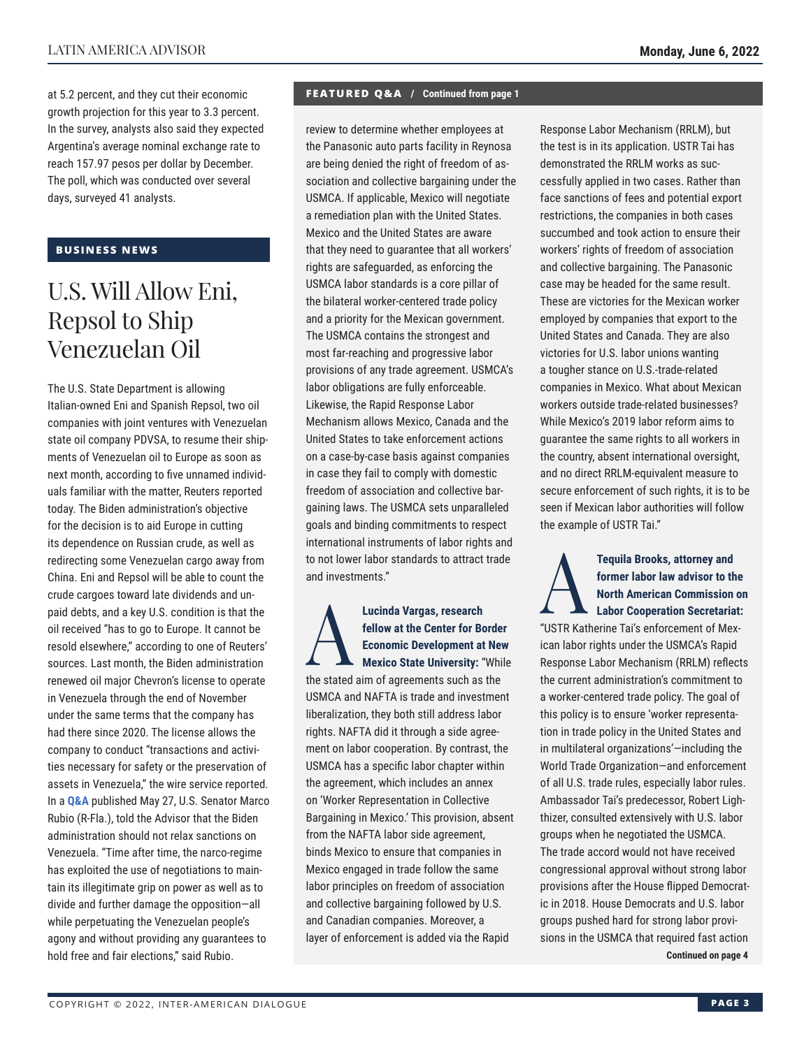at 5.2 percent, and they cut their economic growth projection for this year to 3.3 percent. In the survey, analysts also said they expected Argentina's average nominal exchange rate to reach 157.97 pesos per dollar by December. The poll, which was conducted over several days, surveyed 41 analysts.

### **BUSINESS NEWS**

### U.S. Will Allow Eni, Repsol to Ship Venezuelan Oil

The U.S. State Department is allowing Italian-owned Eni and Spanish Repsol, two oil companies with joint ventures with Venezuelan state oil company PDVSA, to resume their shipments of Venezuelan oil to Europe as soon as next month, according to five unnamed individuals familiar with the matter, Reuters reported today. The Biden administration's objective for the decision is to aid Europe in cutting its dependence on Russian crude, as well as redirecting some Venezuelan cargo away from China. Eni and Repsol will be able to count the crude cargoes toward late dividends and unpaid debts, and a key U.S. condition is that the oil received "has to go to Europe. It cannot be resold elsewhere," according to one of Reuters' sources. Last month, the Biden administration renewed oil major Chevron's license to operate in Venezuela through the end of November under the same terms that the company has had there since 2020. The license allows the company to conduct "transactions and activities necessary for safety or the preservation of assets in Venezuela," the wire service reported. In a **[Q&A](https://www.thedialogue.org/wp-content/uploads/2022/05/LAA220527.pdf)** published May 27, U.S. Senator Marco Rubio (R-Fla.), told the Advisor that the Biden administration should not relax sanctions on Venezuela. "Time after time, the narco-regime has exploited the use of negotiations to maintain its illegitimate grip on power as well as to divide and further damage the opposition—all while perpetuating the Venezuelan people's agony and without providing any guarantees to hold free and fair elections," said Rubio.

#### **FEATURED Q&A / Continued from page 1**

review to determine whether employees at the Panasonic auto parts facility in Reynosa are being denied the right of freedom of association and collective bargaining under the USMCA. If applicable, Mexico will negotiate a remediation plan with the United States. Mexico and the United States are aware that they need to guarantee that all workers' rights are safeguarded, as enforcing the USMCA labor standards is a core pillar of the bilateral worker-centered trade policy and a priority for the Mexican government. The USMCA contains the strongest and most far-reaching and progressive labor provisions of any trade agreement. USMCA's labor obligations are fully enforceable. Likewise, the Rapid Response Labor Mechanism allows Mexico, Canada and the United States to take enforcement actions on a case-by-case basis against companies in case they fail to comply with domestic freedom of association and collective bargaining laws. The USMCA sets unparalleled goals and binding commitments to respect international instruments of labor rights and to not lower labor standards to attract trade and investments."

Lucinda Vargas, research<br> **Explore the Center for Bc**<br> **Economic Development at**<br>
Mexico State University: "<br>
the ototed sim of acrosments such as **fellow at the Center for Border Economic Development at New Mexico State University:** "While the stated aim of agreements such as the USMCA and NAFTA is trade and investment liberalization, they both still address labor rights. NAFTA did it through a side agreement on labor cooperation. By contrast, the USMCA has a specific labor chapter within the agreement, which includes an annex on 'Worker Representation in Collective Bargaining in Mexico.' This provision, absent from the NAFTA labor side agreement, binds Mexico to ensure that companies in Mexico engaged in trade follow the same labor principles on freedom of association and collective bargaining followed by U.S. and Canadian companies. Moreover, a layer of enforcement is added via the Rapid

Response Labor Mechanism (RRLM), but the test is in its application. USTR Tai has demonstrated the RRLM works as successfully applied in two cases. Rather than face sanctions of fees and potential export restrictions, the companies in both cases succumbed and took action to ensure their workers' rights of freedom of association and collective bargaining. The Panasonic case may be headed for the same result. These are victories for the Mexican worker employed by companies that export to the United States and Canada. They are also victories for U.S. labor unions wanting a tougher stance on U.S.-trade-related companies in Mexico. What about Mexican workers outside trade-related businesses? While Mexico's 2019 labor reform aims to guarantee the same rights to all workers in the country, absent international oversight, and no direct RRLM-equivalent measure to secure enforcement of such rights, it is to be seen if Mexican labor authorities will follow the example of USTR Tai."

### **Tequila Brooks, attorney and<br>
former labor law advisor to the North American Commission<br>
Labor Cooperation Secretaria former labor law advisor to the North American Commission on Labor Cooperation Secretariat:**

"USTR Katherine Tai's enforcement of Mexican labor rights under the USMCA's Rapid Response Labor Mechanism (RRLM) reflects the current administration's commitment to a worker-centered trade policy. The goal of this policy is to ensure 'worker representation in trade policy in the United States and in multilateral organizations'—including the World Trade Organization—and enforcement of all U.S. trade rules, especially labor rules. Ambassador Tai's predecessor, Robert Lighthizer, consulted extensively with U.S. labor groups when he negotiated the USMCA. The trade accord would not have received congressional approval without strong labor provisions after the House flipped Democratic in 2018. House Democrats and U.S. labor groups pushed hard for strong labor provisions in the USMCA that required fast action **Continued on page 4**